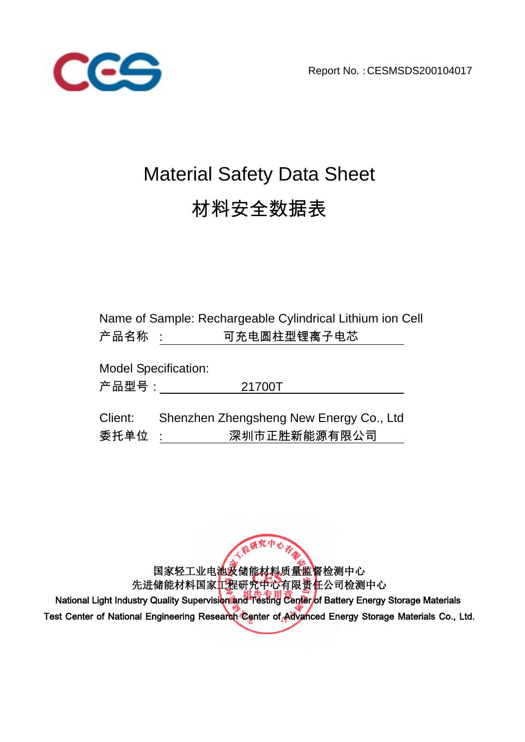Report No.:CESMSDS200104017



# Material Safety Data Sheet 材料安全数据表

| Name of Sample: Rechargeable Cylindrical Lithium ion Cell |
|-----------------------------------------------------------|
| 可充电圆柱型锂离子电芯<br>产品名称 :                                     |
| <b>Model Specification:</b>                               |
| 产品型号:<br>21700T                                           |
| Shenzhen Zhengsheng New Energy Co., Ltd<br>深圳市正胜新能源有限公司   |
|                                                           |

国家轻工业电池及储能材料质量监督检测中心 先进储能材料国家工程研究中心有限责任公司检测中心

人群研究中心

National Light Industry Quality Supervision and Testing Center of Battery Energy Storage Materials Test Center of National Engineering Research Center of Advanced Energy Storage Materials Co., Ltd.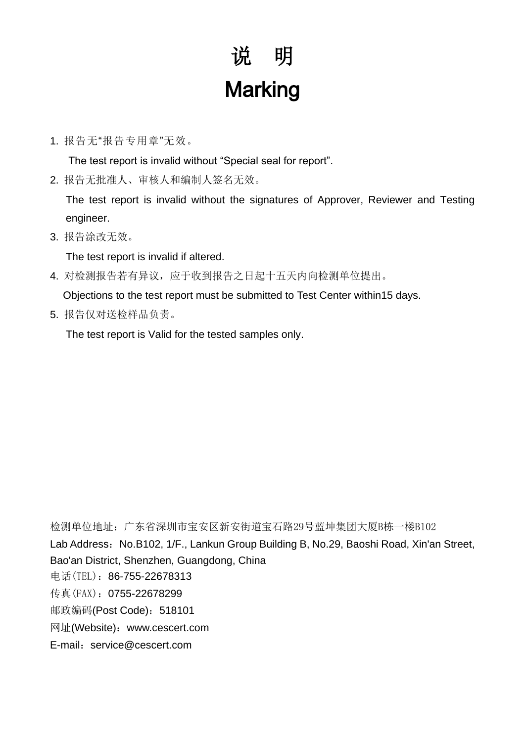# 说明 **Marking**

1. 报告无"报告专用章"无效。

The test report is invalid without "Special seal for report".

2. 报告无批准人、审核人和编制人签名无效。

 The test report is invalid without the signatures of Approver, Reviewer and Testing engineer.

3. 报告涂改无效。

The test report is invalid if altered.

4. 对检测报告若有异议,应于收到报告之日起十五天内向检测单位提出。

Objections to the test report must be submitted to Test Center within15 days.

5. 报告仅对送检样品负责。

The test report is Valid for the tested samples only.

检测单位地址:广东省深圳市宝安区新安街道宝石路29号蓝坤集团大厦B栋一楼B102 Lab Address: No.B102, 1/F., Lankun Group Building B, No.29, Baoshi Road, Xin'an Street, Bao'an District, Shenzhen, Guangdong, China 电话(TEL):86-755-22678313 传真(FAX): 0755-22678299 邮政编码(Post Code): 518101 网址(Website):www.cescert.com E-mail: service@cescert.com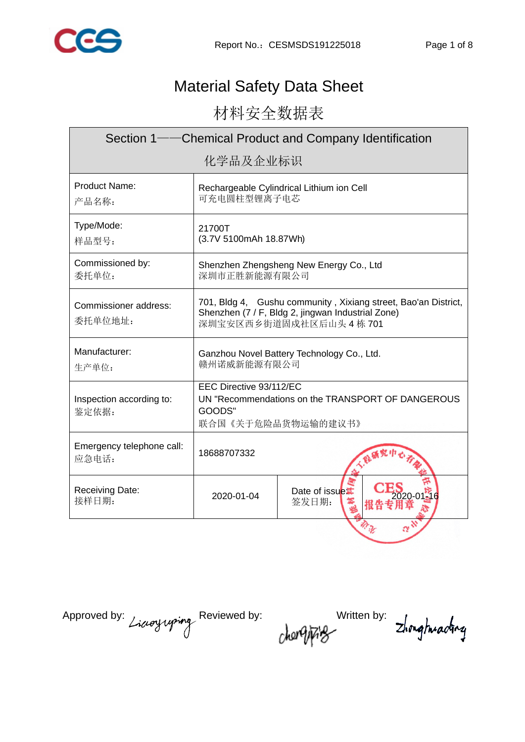

# Material Safety Data Sheet

材料安全数据表

| Section 1——Chemical Product and Company Identification |                                                                                                                                              |                                           |  |  |
|--------------------------------------------------------|----------------------------------------------------------------------------------------------------------------------------------------------|-------------------------------------------|--|--|
| 化学品及企业标识                                               |                                                                                                                                              |                                           |  |  |
| Product Name:<br>产品名称:                                 | 可充电圆柱型锂离子电芯                                                                                                                                  | Rechargeable Cylindrical Lithium ion Cell |  |  |
| Type/Mode:<br>样品型号:                                    | 21700T<br>(3.7V 5100mAh 18.87Wh)                                                                                                             |                                           |  |  |
| Commissioned by:<br>委托单位:                              | Shenzhen Zhengsheng New Energy Co., Ltd<br>深圳市正胜新能源有限公司                                                                                      |                                           |  |  |
| Commissioner address:<br>委托单位地址:                       | 701, Bldg 4, Gushu community, Xixiang street, Bao'an District,<br>Shenzhen (7 / F, Bldg 2, jingwan Industrial Zone)<br>深圳宝安区西乡街道固戍社区后山头4栋701 |                                           |  |  |
| Manufacturer:<br>生产单位:                                 | Ganzhou Novel Battery Technology Co., Ltd.<br>赣州诺威新能源有限公司                                                                                    |                                           |  |  |
| Inspection according to:<br>鉴定依据:                      | EEC Directive 93/112/EC<br>UN "Recommendations on the TRANSPORT OF DANGEROUS<br>GOODS"<br>联合国《关于危险品货物运输的建议书》                                 |                                           |  |  |
| Emergency telephone call:<br>应急电话:                     | 18688707332                                                                                                                                  |                                           |  |  |
| <b>Receiving Date:</b><br>接样日期:                        | 2020-01-04                                                                                                                                   | Date of issue<br>签发日期:                    |  |  |
|                                                        |                                                                                                                                              |                                           |  |  |

Approved by: Licroyigning Reviewed by: Written by: Zhonghrading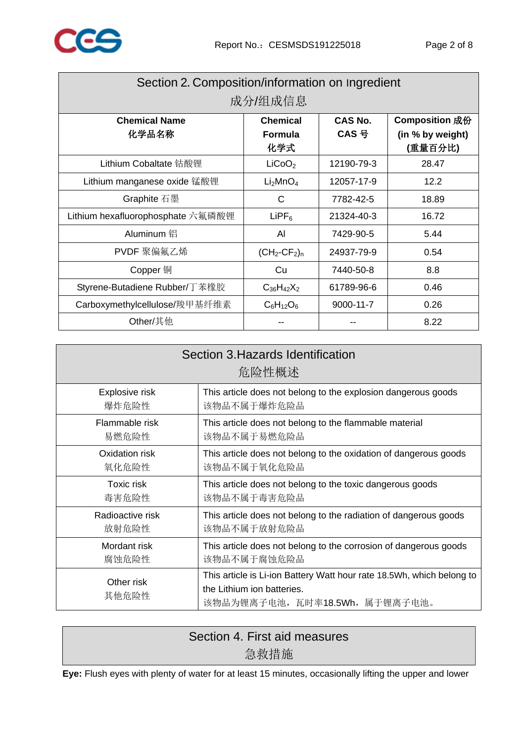

| Section 2. Composition/information on Ingredient<br>成分/组成信息 |                                          |                    |                                               |  |
|-------------------------------------------------------------|------------------------------------------|--------------------|-----------------------------------------------|--|
| <b>Chemical Name</b><br>化学品名称                               | <b>Chemical</b><br><b>Formula</b><br>化学式 | CAS No.<br>$CAS$ 号 | Composition 成份<br>(in % by weight)<br>(重量百分比) |  |
| Lithium Cobaltate 钴酸锂                                       | LiCoO <sub>2</sub>                       | 12190-79-3         | 28.47                                         |  |
| Lithium manganese oxide 锰酸锂                                 | Li <sub>2</sub> MnO <sub>4</sub>         | 12057-17-9         | 12.2                                          |  |
| Graphite 石墨                                                 | С                                        | 7782-42-5          | 18.89                                         |  |
| Lithium hexafluorophosphate 六氟磷酸锂                           | $LIPF_6$                                 | 21324-40-3         | 16.72                                         |  |
| Aluminum 铝                                                  | Al                                       | 7429-90-5          | 5.44                                          |  |
| PVDF 聚偏氟乙烯                                                  | $(CH_2-CF_2)_n$                          | 24937-79-9         | 0.54                                          |  |
| Copper 铜                                                    | Cu                                       | 7440-50-8          | 8.8                                           |  |
| Styrene-Butadiene Rubber/丁苯橡胶                               | $C_{36}H_{42}X_2$                        | 61789-96-6         | 0.46                                          |  |
| Carboxymethylcellulose/羧甲基纤维素                               | $C_6H_{12}O_6$                           | 9000-11-7          | 0.26                                          |  |
| Other/其他                                                    |                                          |                    | 8.22                                          |  |

| Section 3. Hazards Identification<br>危险性概述 |                                                                                                                                       |  |  |
|--------------------------------------------|---------------------------------------------------------------------------------------------------------------------------------------|--|--|
| Explosive risk                             | This article does not belong to the explosion dangerous goods                                                                         |  |  |
| 爆炸危险性                                      | 该物品不属于爆炸危险品                                                                                                                           |  |  |
| Flammable risk                             | This article does not belong to the flammable material                                                                                |  |  |
| 易燃危险性                                      | 该物品不属于易燃危险品                                                                                                                           |  |  |
| Oxidation risk                             | This article does not belong to the oxidation of dangerous goods                                                                      |  |  |
| 氧化危险性                                      | 该物品不属于氧化危险品                                                                                                                           |  |  |
| Toxic risk                                 | This article does not belong to the toxic dangerous goods                                                                             |  |  |
| 毒害危险性                                      | 该物品不属于毒害危险品                                                                                                                           |  |  |
| Radioactive risk                           | This article does not belong to the radiation of dangerous goods                                                                      |  |  |
| 放射危险性                                      | 该物品不属于放射危险品                                                                                                                           |  |  |
| Mordant risk                               | This article does not belong to the corrosion of dangerous goods                                                                      |  |  |
| 腐蚀危险性                                      | 该物品不属于腐蚀危险品                                                                                                                           |  |  |
| Other risk<br>其他危险性                        | This article is Li-ion Battery Watt hour rate 18.5Wh, which belong to<br>the Lithium ion batteries.<br>该物品为锂离子电池, 瓦时率18.5Wh, 属于锂离子电池。 |  |  |

# Section 4. First aid measures 急救措施

**Eye:** Flush eyes with plenty of water for at least 15 minutes, occasionally lifting the upper and lower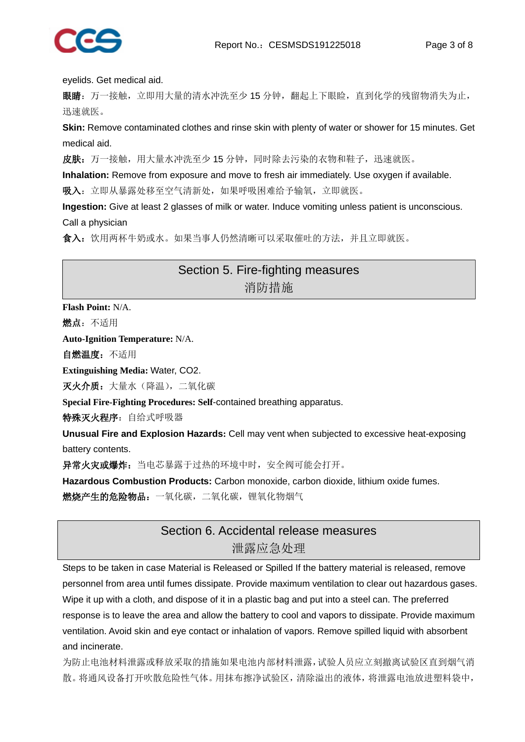

eyelids. Get medical aid.

眼睛: 万一接触,立即用大量的清水冲洗至少 15 分钟,翻起上下眼睑,直到化学的残留物消失为止, 迅速就医。

**Skin:** Remove contaminated clothes and rinse skin with plenty of water or shower for 15 minutes. Get medical aid.

皮肤: 万一接触,用大量水冲洗至少15分钟,同时除去污染的衣物和鞋子,迅速就医。

**Inhalation:** Remove from exposure and move to fresh air immediately. Use oxygen if available.

吸入: 立即从暴露处移至空气清新处, 如果呼吸困难给予输氧, 立即就医。

**Ingestion:** Give at least 2 glasses of milk or water. Induce vomiting unless patient is unconscious. Call a physician

食入:饮用两杯牛奶或水。如果当事人仍然清晰可以采取催吐的方法,并且立即就医。

#### Section 5. Fire-fighting measures 消防措施

**Flash Point:** N/A.

燃点:不适用

**Auto-Ignition Temperature:** N/A.

自燃温度:不适用

**Extinguishing Media:** Water, CO2.

灭火介质: 大量水(降温), 二氧化碳

**Special Fire-Fighting Procedures: Self**-contained breathing apparatus.

特殊灭火程序:自给式呼吸器

**Unusual Fire and Explosion Hazards:** Cell may vent when subjected to excessive heat-exposing battery contents.

异常火灾或爆炸: 当电芯暴露于过热的环境中时, 安全阀可能会打开。

**Hazardous Combustion Products:** Carbon monoxide, carbon dioxide, lithium oxide fumes.

燃烧产生的危险物品:一氧化碳,二氧化碳,锂氧化物烟气

### Section 6. Accidental release measures 泄露应急处理

Steps to be taken in case Material is Released or Spilled If the battery material is released, remove personnel from area until fumes dissipate. Provide maximum ventilation to clear out hazardous gases. Wipe it up with a cloth, and dispose of it in a plastic bag and put into a steel can. The preferred response is to leave the area and allow the battery to cool and vapors to dissipate. Provide maximum ventilation. Avoid skin and eye contact or inhalation of vapors. Remove spilled liquid with absorbent and incinerate.

为防止电池材料泄露或释放采取的措施如果电池内部材料泄露,试验人员应立刻撤离试验区直到烟气消 散。将通风设备打开吹散危险性气体。用抹布擦净试验区,清除溢出的液体,将泄露电池放进塑料袋中,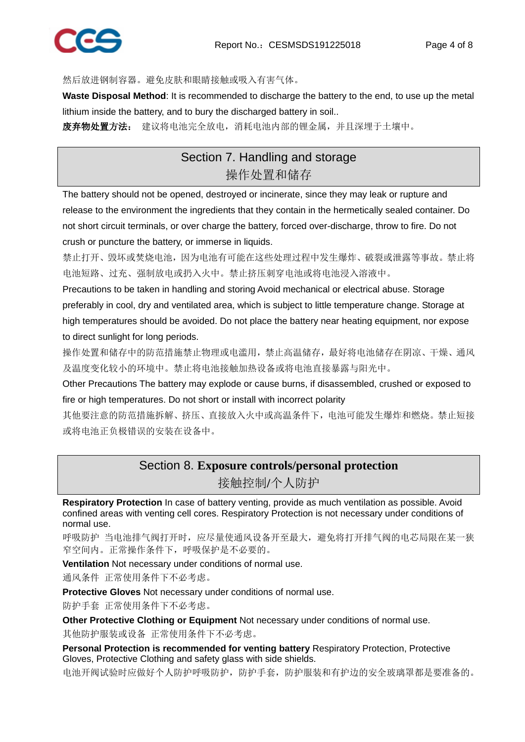

然后放进钢制容器。避免皮肤和眼睛接触或吸入有害气体。

**Waste Disposal Method**: It is recommended to discharge the battery to the end, to use up the metal lithium inside the battery, and to bury the discharged battery in soil..

废弃物处置方法: 建议将电池完全放电,消耗电池内部的锂金属,并且深埋于土壤中。

### Section 7. Handling and storage 操作处置和储存

The battery should not be opened, destroyed or incinerate, since they may leak or rupture and release to the environment the ingredients that they contain in the hermetically sealed container. Do not short circuit terminals, or over charge the battery, forced over-discharge, throw to fire. Do not crush or puncture the battery, or immerse in liquids.

禁止打开、毁坏或焚烧电池,因为电池有可能在这些处理过程中发生爆炸、破裂或泄露等事故。禁止将 电池短路、过充、强制放电或扔入火中。禁止挤压刺穿电池或将电池浸入溶液中。

Precautions to be taken in handling and storing Avoid mechanical or electrical abuse. Storage preferably in cool, dry and ventilated area, which is subject to little temperature change. Storage at high temperatures should be avoided. Do not place the battery near heating equipment, nor expose to direct sunlight for long periods.

操作处置和储存中的防范措施禁止物理或电滥用,禁止高温储存,最好将电池储存在阴凉、干燥、通风 及温度变化较小的环境中。禁止将电池接触加热设备或将电池直接暴露与阳光中。

Other Precautions The battery may explode or cause burns, if disassembled, crushed or exposed to fire or high temperatures. Do not short or install with incorrect polarity

其他要注意的防范措施拆解、挤压、直接放入火中或高温条件下,电池可能发生爆炸和燃烧。禁止短接 或将电池正负极错误的安装在设备中。

# Section 8. **Exposure controls/personal protection**

接触控制**/**个人防护

**Respiratory Protection** In case of battery venting, provide as much ventilation as possible. Avoid confined areas with venting cell cores. Respiratory Protection is not necessary under conditions of normal use.

呼吸防护 当电池排气阀打开时,应尽量使通风设备开至最大,避免将打开排气阀的电芯局限在某一狭 窄空间内。正常操作条件下,呼吸保护是不必要的。

**Ventilation** Not necessary under conditions of normal use.

通风条件 正常使用条件下不必考虑。

**Protective Gloves** Not necessary under conditions of normal use.

防护手套 正常使用条件下不必考虑。

**Other Protective Clothing or Equipment** Not necessary under conditions of normal use.

其他防护服装或设备 正常使用条件下不必考虑。

**Personal Protection is recommended for venting battery Respiratory Protection, Protective** Gloves, Protective Clothing and safety glass with side shields.

电池开阀试验时应做好个人防护呼吸防护,防护手套,防护服装和有护边的安全玻璃罩都是要准备的。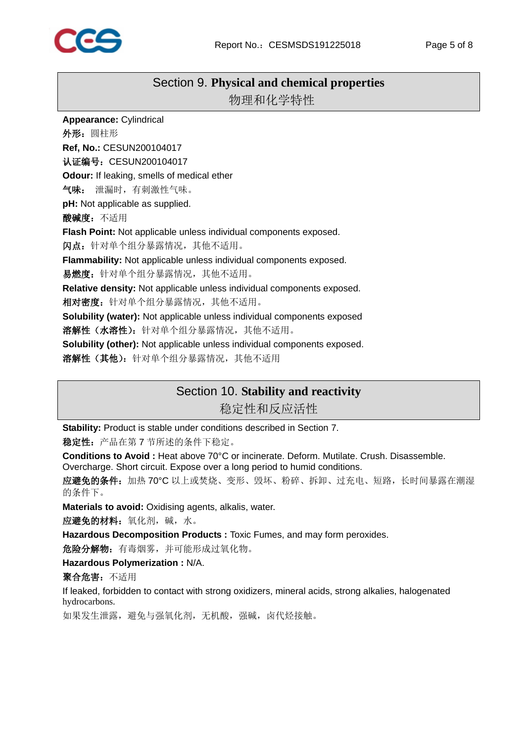

#### Section 9. **Physical and chemical properties**

物理和化学特性

**Appearance:** Cylindrical 外形:圆柱形 **Ref, No.:** CESUN200104017 认证编号: CESUN200104017 **Odour:** If leaking, smells of medical ether 气味: 泄漏时,有刺激性气味。 **pH:** Not applicable as supplied. 酸碱度:不适用 **Flash Point:** Not applicable unless individual components exposed. 闪点:针对单个组分暴露情况,其他不适用。 **Flammability:** Not applicable unless individual components exposed. 易燃度:针对单个组分暴露情况,其他不适用。 **Relative density:** Not applicable unless individual components exposed. 相对密度: 针对单个组分暴露情况, 其他不适用。 **Solubility (water):** Not applicable unless individual components exposed 溶解性(水溶性): 针对单个组分暴露情况, 其他不适用。 **Solubility (other):** Not applicable unless individual components exposed. **溶解性(其他):** 针对单个组分暴露情况, 其他不适用

#### Section 10. **Stability and reactivity**

稳定性和反应活性

**Stability:** Product is stable under conditions described in Section 7.

稳定性:产品在第 7 节所述的条件下稳定。

**Conditions to Avoid :** Heat above 70°C or incinerate. Deform. Mutilate. Crush. Disassemble. Overcharge. Short circuit. Expose over a long period to humid conditions.

应避免的条件: 加热 70℃ 以上或焚烧、变形、毁坏、粉碎、拆卸、过充电、短路, 长时间暴露在潮湿 的条件下。

**Materials to avoid:** Oxidising agents, alkalis, water.

应避免的材料:氧化剂,碱,水。

**Hazardous Decomposition Products :** Toxic Fumes, and may form peroxides.

危险分解物:有毒烟雾,并可能形成过氧化物。

**Hazardous Polymerization :** N/A.

聚合危害:不适用

If leaked, forbidden to contact with strong oxidizers, mineral acids, strong alkalies, halogenated hydrocarbons.

如果发生泄露,避免与强氧化剂,无机酸,强碱,卤代烃接触。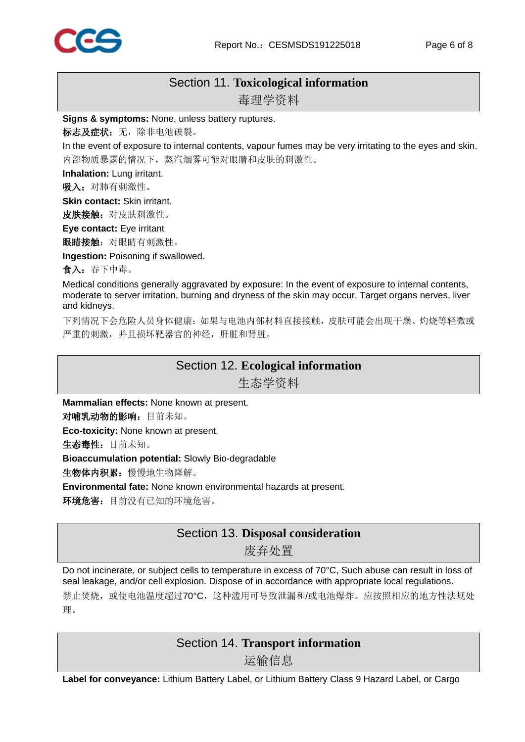

## Section 11. **Toxicological information**

毒理学资料

**Signs & symptoms:** None, unless battery ruptures.

标志及症状: 无, 除非电池破裂。

In the event of exposure to internal contents, vapour fumes may be very irritating to the eyes and skin. 内部物质暴露的情况下,蒸汽烟雾可能对眼睛和皮肤的刺激性。

**Inhalation:** Lung irritant.

吸入: 对肺有刺激性。

**Skin contact:** Skin irritant.

皮肤接触: 对皮肤刺激性。

**Eye contact:** Eye irritant

眼睛接触:对眼睛有刺激性。

**Ingestion:** Poisoning if swallowed.

食入:吞下中毒。

Medical conditions generally aggravated by exposure: In the event of exposure to internal contents, moderate to server irritation, burning and dryness of the skin may occur, Target organs nerves, liver and kidneys.

下列情况下会危险人员身体健康:如果与电池内部材料直接接触,皮肤可能会出现干燥、灼烧等轻微或 严重的刺激,并且损坏靶器官的神经,肝脏和肾脏。

#### Section 12. **Ecological information**

生态学资料

**Mammalian effects:** None known at present.

对哺乳动物的影响:目前未知。

**Eco-toxicity:** None known at present.

生态毒性:目前未知。

**Bioaccumulation potential:** Slowly Bio-degradable

生物体内积累:慢慢地生物降解。

**Environmental fate:** None known environmental hazards at present.

环境危害:目前没有已知的环境危害。

#### Section 13. **Disposal consideration**

废弃处置

Do not incinerate, or subject cells to temperature in excess of 70°C, Such abuse can result in loss of seal leakage, and/or cell explosion. Dispose of in accordance with appropriate local regulations.

禁止焚烧,或使电池温度超过70°C,这种滥用可导致泄漏和/或电池爆炸。应按照相应的地方性法规处 理。

#### Section 14. **Transport information**

运输信息

**Label for conveyance:** Lithium Battery Label, or Lithium Battery Class 9 Hazard Label, or Cargo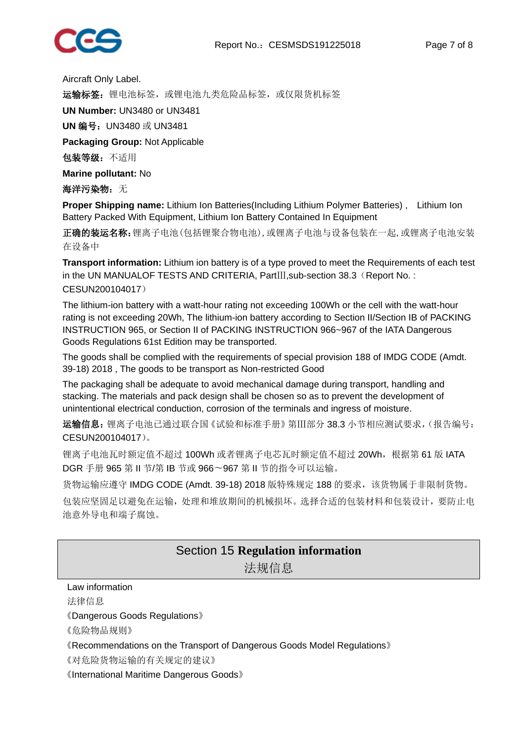

Aircraft Only Label.

运输标签: 锂电池标签, 或锂电池九类危险品标签, 或仅限货机标签

**UN Number:** UN3480 or UN3481

**UN** 编号:UN3480 或 UN3481

**Packaging Group:** Not Applicable

包装等级:不适用

**Marine pollutant:** No

#### 海洋污染物: 无

**Proper Shipping name:** Lithium Ion Batteries(Including Lithium Polymer Batteries) , Lithium Ion Battery Packed With Equipment, Lithium Ion Battery Contained In Equipment

正确的装运名称:锂离子电池(包括锂聚合物电池),或锂离子电池与设备包装在一起,或锂离子电池安装 在设备中

**Transport information:** Lithium ion battery is of a type proved to meet the Requirements of each test in the UN MANUALOF TESTS AND CRITERIA, PartⅢ,sub-section 38.3(Report No. : CESUN200104017)

The lithium-ion battery with a watt-hour rating not exceeding 100Wh or the cell with the watt-hour rating is not exceeding 20Wh, The lithium-ion battery according to Section II/Section IB of PACKING INSTRUCTION 965, or Section II of PACKING INSTRUCTION 966~967 of the IATA Dangerous Goods Regulations 61st Edition may be transported.

The goods shall be complied with the requirements of special provision 188 of IMDG CODE (Amdt. 39-18) 2018 , The goods to be transport as Non-restricted Good

The packaging shall be adequate to avoid mechanical damage during transport, handling and stacking. The materials and pack design shall be chosen so as to prevent the development of unintentional electrical conduction, corrosion of the terminals and ingress of moisture.

运输信息:锂离子电池已通过联合国《试验和标准手册》第Ⅲ部分 38.3 小节相应测试要求,(报告编号: CESUN200104017)。

锂离子电池瓦时额定值不超过 100Wh 或者锂离子电芯瓦时额定值不超过 20Wh,根据第 61 版 IATA DGR 手册 965 第 II 节/第 IB 节或 966〜967 第 II 节的指令可以运输。

货物运输应遵守 IMDG CODE (Amdt. 39-18) 2018 版特殊规定 188 的要求,该货物属于非限制货物。

包装应坚固足以避免在运输,处理和堆放期间的机械损坏。选择合适的包装材料和包装设计,要防止电 池意外导电和端子腐蚀。

#### Section 15 **Regulation information**

法规信息

Law information 法律信息

《Dangerous Goods Regulations》

《危险物品规则》

《Recommendations on the Transport of Dangerous Goods Model Regulations》

《对危险货物运输的有关规定的建议》

《International Maritime Dangerous Goods》